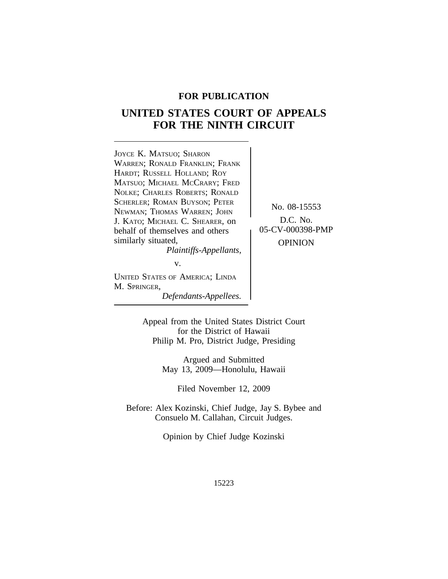# **FOR PUBLICATION**

# **UNITED STATES COURT OF APPEALS FOR THE NINTH CIRCUIT**



M. SPRINGER, *Defendants-Appellees.*

Appeal from the United States District Court for the District of Hawaii Philip M. Pro, District Judge, Presiding

> Argued and Submitted May 13, 2009—Honolulu, Hawaii

> > Filed November 12, 2009

Before: Alex Kozinski, Chief Judge, Jay S. Bybee and Consuelo M. Callahan, Circuit Judges.

Opinion by Chief Judge Kozinski

15223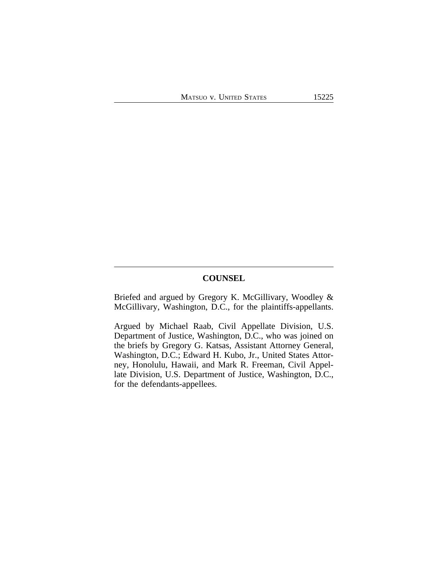# **COUNSEL**

Briefed and argued by Gregory K. McGillivary, Woodley & McGillivary, Washington, D.C., for the plaintiffs-appellants.

Argued by Michael Raab, Civil Appellate Division, U.S. Department of Justice, Washington, D.C., who was joined on the briefs by Gregory G. Katsas, Assistant Attorney General, Washington, D.C.; Edward H. Kubo, Jr., United States Attorney, Honolulu, Hawaii, and Mark R. Freeman, Civil Appellate Division, U.S. Department of Justice, Washington, D.C., for the defendants-appellees.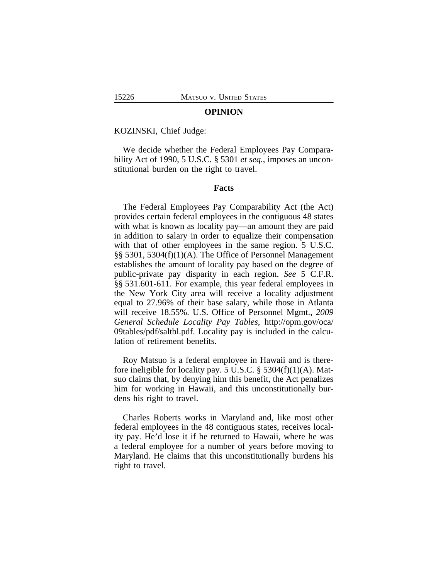## **OPINION**

#### KOZINSKI, Chief Judge:

We decide whether the Federal Employees Pay Comparability Act of 1990, 5 U.S.C. § 5301 *et seq.*, imposes an unconstitutional burden on the right to travel.

# **Facts**

The Federal Employees Pay Comparability Act (the Act) provides certain federal employees in the contiguous 48 states with what is known as locality pay—an amount they are paid in addition to salary in order to equalize their compensation with that of other employees in the same region. 5 U.S.C. §§ 5301, 5304(f)(1)(A). The Office of Personnel Management establishes the amount of locality pay based on the degree of public-private pay disparity in each region. *See* 5 C.F.R. §§ 531.601-611. For example, this year federal employees in the New York City area will receive a locality adjustment equal to 27.96% of their base salary, while those in Atlanta will receive 18.55%. U.S. Office of Personnel Mgmt., *2009 General Schedule Locality Pay Tables*, http://opm.gov/oca/ 09tables/pdf/saltbl.pdf. Locality pay is included in the calculation of retirement benefits.

Roy Matsuo is a federal employee in Hawaii and is therefore ineligible for locality pay. 5 U.S.C. § 5304(f)(1)(A). Matsuo claims that, by denying him this benefit, the Act penalizes him for working in Hawaii, and this unconstitutionally burdens his right to travel.

Charles Roberts works in Maryland and, like most other federal employees in the 48 contiguous states, receives locality pay. He'd lose it if he returned to Hawaii, where he was a federal employee for a number of years before moving to Maryland. He claims that this unconstitutionally burdens his right to travel.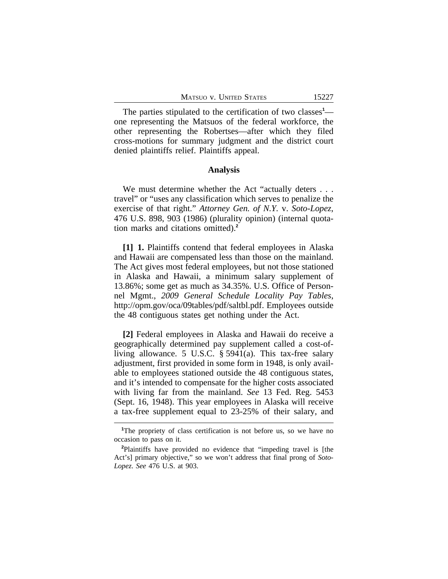The parties stipulated to the certification of two classes<sup>1</sup> one representing the Matsuos of the federal workforce, the other representing the Robertses—after which they filed cross-motions for summary judgment and the district court denied plaintiffs relief. Plaintiffs appeal.

## **Analysis**

We must determine whether the Act "actually deters . . . travel" or "uses any classification which serves to penalize the exercise of that right." *Attorney Gen. of N.Y.* v. *Soto-Lopez*, 476 U.S. 898, 903 (1986) (plurality opinion) (internal quotation marks and citations omitted).**<sup>2</sup>**

**[1] 1.** Plaintiffs contend that federal employees in Alaska and Hawaii are compensated less than those on the mainland. The Act gives most federal employees, but not those stationed in Alaska and Hawaii, a minimum salary supplement of 13.86%; some get as much as 34.35%. U.S. Office of Personnel Mgmt., *2009 General Schedule Locality Pay Tables*, http://opm.gov/oca/09tables/pdf/saltbl.pdf. Employees outside the 48 contiguous states get nothing under the Act.

**[2]** Federal employees in Alaska and Hawaii do receive a geographically determined pay supplement called a cost-ofliving allowance. 5 U.S.C. § 5941(a). This tax-free salary adjustment, first provided in some form in 1948, is only available to employees stationed outside the 48 contiguous states, and it's intended to compensate for the higher costs associated with living far from the mainland. *See* 13 Fed. Reg. 5453 (Sept. 16, 1948). This year employees in Alaska will receive a tax-free supplement equal to 23-25% of their salary, and

**<sup>1</sup>**The propriety of class certification is not before us, so we have no occasion to pass on it.

**<sup>2</sup>**Plaintiffs have provided no evidence that "impeding travel is [the Act's] primary objective," so we won't address that final prong of *Soto-Lopez*. *See* 476 U.S. at 903.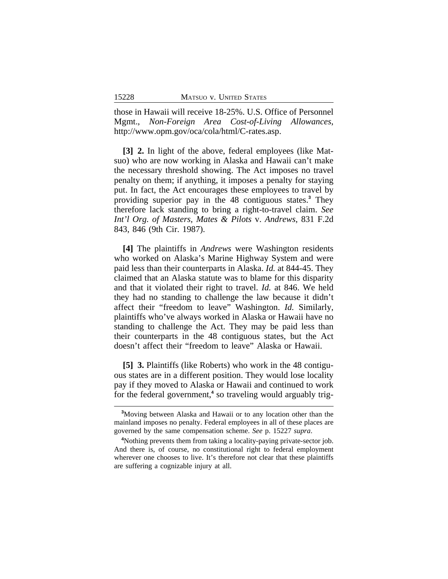those in Hawaii will receive 18-25%. U.S. Office of Personnel Mgmt., *Non-Foreign Area Cost-of-Living Allowances*, http://www.opm.gov/oca/cola/html/C-rates.asp.

**[3] 2.** In light of the above, federal employees (like Matsuo) who are now working in Alaska and Hawaii can't make the necessary threshold showing. The Act imposes no travel penalty on them; if anything, it imposes a penalty for staying put. In fact, the Act encourages these employees to travel by providing superior pay in the 48 contiguous states.**<sup>3</sup>** They therefore lack standing to bring a right-to-travel claim. *See Int'l Org. of Masters, Mates & Pilots* v. *Andrews*, 831 F.2d 843, 846 (9th Cir. 1987).

**[4]** The plaintiffs in *Andrews* were Washington residents who worked on Alaska's Marine Highway System and were paid less than their counterparts in Alaska. *Id.* at 844-45. They claimed that an Alaska statute was to blame for this disparity and that it violated their right to travel. *Id.* at 846. We held they had no standing to challenge the law because it didn't affect their "freedom to leave" Washington. *Id.* Similarly, plaintiffs who've always worked in Alaska or Hawaii have no standing to challenge the Act. They may be paid less than their counterparts in the 48 contiguous states, but the Act doesn't affect their "freedom to leave" Alaska or Hawaii.

**[5] 3.** Plaintiffs (like Roberts) who work in the 48 contiguous states are in a different position. They would lose locality pay if they moved to Alaska or Hawaii and continued to work for the federal government,<sup>4</sup> so traveling would arguably trig-

**<sup>3</sup>**Moving between Alaska and Hawaii or to any location other than the mainland imposes no penalty. Federal employees in all of these places are governed by the same compensation scheme. *See* p. 15227 *supra*.

**<sup>4</sup>**Nothing prevents them from taking a locality-paying private-sector job. And there is, of course, no constitutional right to federal employment wherever one chooses to live. It's therefore not clear that these plaintiffs are suffering a cognizable injury at all.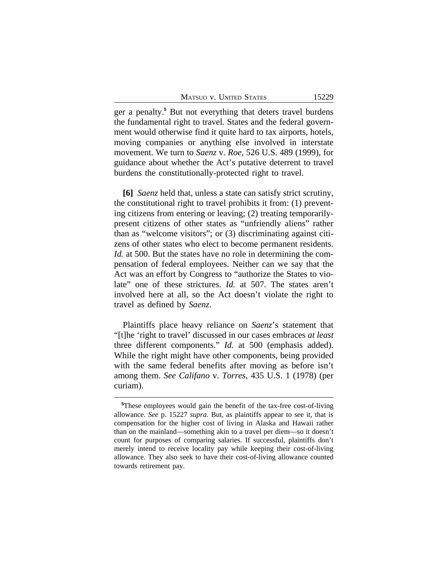| MATSUO V. UNITED STATES |  |  |
|-------------------------|--|--|
|-------------------------|--|--|

ger a penalty.**<sup>5</sup>** But not everything that deters travel burdens the fundamental right to travel. States and the federal government would otherwise find it quite hard to tax airports, hotels, moving companies or anything else involved in interstate movement. We turn to *Saenz* v. *Roe*, 526 U.S. 489 (1999), for guidance about whether the Act's putative deterrent to travel burdens the constitutionally-protected right to travel.

**[6]** *Saenz* held that, unless a state can satisfy strict scrutiny, the constitutional right to travel prohibits it from: (1) preventing citizens from entering or leaving; (2) treating temporarilypresent citizens of other states as "unfriendly aliens" rather than as "welcome visitors"; or (3) discriminating against citizens of other states who elect to become permanent residents. *Id.* at 500. But the states have no role in determining the compensation of federal employees. Neither can we say that the Act was an effort by Congress to "authorize the States to violate" one of these strictures. *Id.* at 507. The states aren't involved here at all, so the Act doesn't violate the right to travel as defined by *Saenz*.

Plaintiffs place heavy reliance on *Saenz*'s statement that "[t]he 'right to travel' discussed in our cases embraces *at least* three different components." *Id.* at 500 (emphasis added). While the right might have other components, being provided with the same federal benefits after moving as before isn't among them. *See Califano* v. *Torres*, 435 U.S. 1 (1978) (per curiam).

**<sup>5</sup>**These employees would gain the benefit of the tax-free cost-of-living allowance. *See* p. 15227 *supra*. But, as plaintiffs appear to see it, that is compensation for the higher cost of living in Alaska and Hawaii rather than on the mainland—something akin to a travel per diem—so it doesn't count for purposes of comparing salaries. If successful, plaintiffs don't merely intend to receive locality pay while keeping their cost-of-living allowance. They also seek to have their cost-of-living allowance counted towards retirement pay.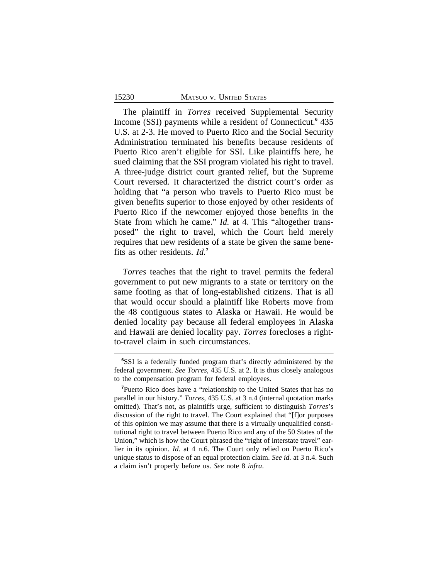## 15230 MATSUO v. UNITED STATES

The plaintiff in *Torres* received Supplemental Security Income (SSI) payments while a resident of Connecticut.**<sup>6</sup>** 435 U.S. at 2-3. He moved to Puerto Rico and the Social Security Administration terminated his benefits because residents of Puerto Rico aren't eligible for SSI. Like plaintiffs here, he sued claiming that the SSI program violated his right to travel. A three-judge district court granted relief, but the Supreme Court reversed. It characterized the district court's order as holding that "a person who travels to Puerto Rico must be given benefits superior to those enjoyed by other residents of Puerto Rico if the newcomer enjoyed those benefits in the State from which he came." *Id.* at 4. This "altogether transposed" the right to travel, which the Court held merely requires that new residents of a state be given the same benefits as other residents. *Id.***<sup>7</sup>**

*Torres* teaches that the right to travel permits the federal government to put new migrants to a state or territory on the same footing as that of long-established citizens. That is all that would occur should a plaintiff like Roberts move from the 48 contiguous states to Alaska or Hawaii. He would be denied locality pay because all federal employees in Alaska and Hawaii are denied locality pay. *Torres* forecloses a rightto-travel claim in such circumstances.

**<sup>6</sup>**SSI is a federally funded program that's directly administered by the federal government. *See Torres*, 435 U.S. at 2. It is thus closely analogous to the compensation program for federal employees.

**<sup>7</sup>**Puerto Rico does have a "relationship to the United States that has no parallel in our history." *Torres*, 435 U.S. at 3 n.4 (internal quotation marks omitted). That's not, as plaintiffs urge, sufficient to distinguish *Torres*'s discussion of the right to travel. The Court explained that "[f]or purposes of this opinion we may assume that there is a virtually unqualified constitutional right to travel between Puerto Rico and any of the 50 States of the Union," which is how the Court phrased the "right of interstate travel" earlier in its opinion. *Id.* at 4 n.6. The Court only relied on Puerto Rico's unique status to dispose of an equal protection claim. *See id.* at 3 n.4. Such a claim isn't properly before us. *See* note 8 *infra*.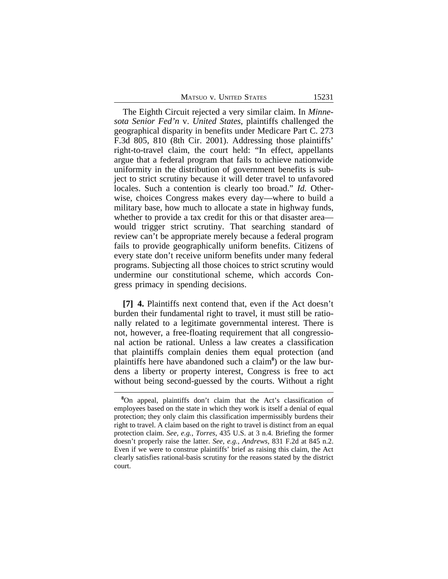The Eighth Circuit rejected a very similar claim. In *Minnesota Senior Fed'n* v. *United States*, plaintiffs challenged the geographical disparity in benefits under Medicare Part C. 273 F.3d 805, 810 (8th Cir. 2001). Addressing those plaintiffs' right-to-travel claim, the court held: "In effect, appellants argue that a federal program that fails to achieve nationwide uniformity in the distribution of government benefits is subject to strict scrutiny because it will deter travel to unfavored locales. Such a contention is clearly too broad." *Id.* Otherwise, choices Congress makes every day—where to build a military base, how much to allocate a state in highway funds, whether to provide a tax credit for this or that disaster area would trigger strict scrutiny. That searching standard of review can't be appropriate merely because a federal program fails to provide geographically uniform benefits. Citizens of every state don't receive uniform benefits under many federal programs. Subjecting all those choices to strict scrutiny would undermine our constitutional scheme, which accords Congress primacy in spending decisions.

**[7] 4.** Plaintiffs next contend that, even if the Act doesn't burden their fundamental right to travel, it must still be rationally related to a legitimate governmental interest. There is not, however, a free-floating requirement that all congressional action be rational. Unless a law creates a classification that plaintiffs complain denies them equal protection (and plaintiffs here have abandoned such a claim**<sup>8</sup>** ) or the law burdens a liberty or property interest, Congress is free to act without being second-guessed by the courts. Without a right

<sup>&</sup>lt;sup>8</sup>On appeal, plaintiffs don't claim that the Act's classification of employees based on the state in which they work is itself a denial of equal protection; they only claim this classification impermissibly burdens their right to travel. A claim based on the right to travel is distinct from an equal protection claim. *See, e.g.*, *Torres*, 435 U.S. at 3 n.4. Briefing the former doesn't properly raise the latter. *See, e.g.*, *Andrews*, 831 F.2d at 845 n.2. Even if we were to construe plaintiffs' brief as raising this claim, the Act clearly satisfies rational-basis scrutiny for the reasons stated by the district court.